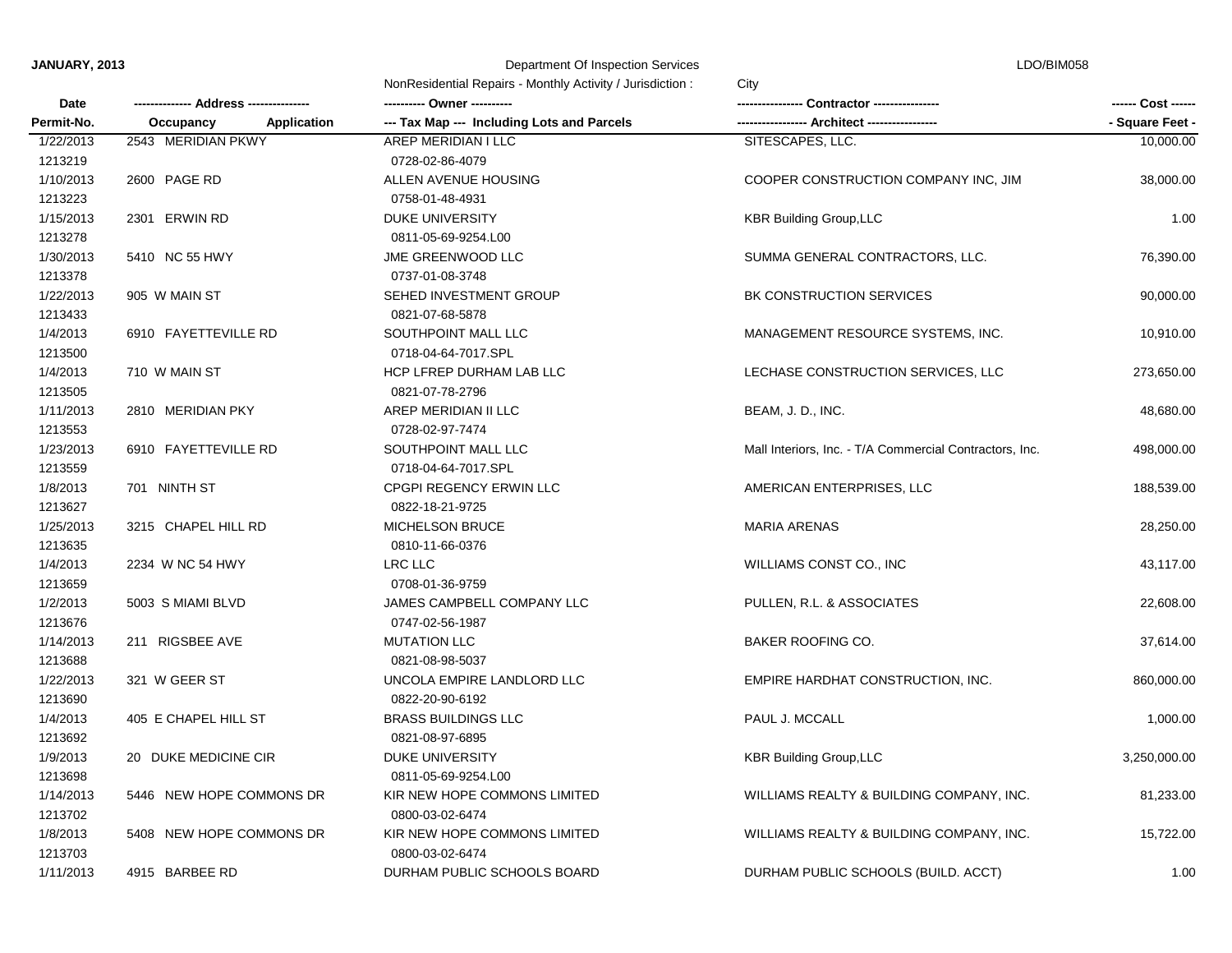## **JANUARY, 2013** Department Of Inspection Services

LDO/BIM058

|            |                                 | NonResidential Repairs - Monthly Activity / Jurisdiction:<br>City |                                                         |                 |
|------------|---------------------------------|-------------------------------------------------------------------|---------------------------------------------------------|-----------------|
| Date       |                                 |                                                                   |                                                         |                 |
| Permit-No. | Occupancy<br><b>Application</b> | --- Tax Map --- Including Lots and Parcels                        | - Architect ---                                         | - Square Feet - |
| 1/22/2013  | 2543 MERIDIAN PKWY              | AREP MERIDIAN I LLC                                               | SITESCAPES, LLC.                                        | 10,000.00       |
| 1213219    |                                 | 0728-02-86-4079                                                   |                                                         |                 |
| 1/10/2013  | 2600 PAGE RD                    | ALLEN AVENUE HOUSING                                              | COOPER CONSTRUCTION COMPANY INC, JIM                    | 38,000.00       |
| 1213223    |                                 | 0758-01-48-4931                                                   |                                                         |                 |
| 1/15/2013  | 2301 ERWIN RD                   | <b>DUKE UNIVERSITY</b>                                            | <b>KBR Building Group, LLC</b>                          | 1.00            |
| 1213278    |                                 | 0811-05-69-9254.L00                                               |                                                         |                 |
| 1/30/2013  | 5410 NC 55 HWY                  | JME GREENWOOD LLC                                                 | SUMMA GENERAL CONTRACTORS, LLC.                         | 76,390.00       |
| 1213378    |                                 | 0737-01-08-3748                                                   |                                                         |                 |
| 1/22/2013  | 905 W MAIN ST                   | SEHED INVESTMENT GROUP                                            | BK CONSTRUCTION SERVICES                                | 90,000.00       |
| 1213433    |                                 | 0821-07-68-5878                                                   |                                                         |                 |
| 1/4/2013   | 6910 FAYETTEVILLE RD            | SOUTHPOINT MALL LLC                                               | MANAGEMENT RESOURCE SYSTEMS, INC.                       | 10,910.00       |
| 1213500    |                                 | 0718-04-64-7017.SPL                                               |                                                         |                 |
| 1/4/2013   | 710 W MAIN ST                   | HCP LFREP DURHAM LAB LLC                                          | LECHASE CONSTRUCTION SERVICES, LLC                      | 273,650.00      |
| 1213505    |                                 | 0821-07-78-2796                                                   |                                                         |                 |
| 1/11/2013  | 2810 MERIDIAN PKY               | AREP MERIDIAN II LLC                                              | BEAM, J. D., INC.                                       | 48,680.00       |
| 1213553    |                                 | 0728-02-97-7474                                                   |                                                         |                 |
| 1/23/2013  | 6910 FAYETTEVILLE RD            | SOUTHPOINT MALL LLC                                               | Mall Interiors, Inc. - T/A Commercial Contractors, Inc. | 498,000.00      |
| 1213559    |                                 | 0718-04-64-7017.SPL                                               |                                                         |                 |
| 1/8/2013   | 701 NINTH ST                    | CPGPI REGENCY ERWIN LLC                                           | AMERICAN ENTERPRISES, LLC                               | 188,539.00      |
| 1213627    |                                 | 0822-18-21-9725                                                   |                                                         |                 |
| 1/25/2013  | 3215 CHAPEL HILL RD             | <b>MICHELSON BRUCE</b>                                            | <b>MARIA ARENAS</b>                                     | 28,250.00       |
| 1213635    |                                 | 0810-11-66-0376                                                   |                                                         |                 |
| 1/4/2013   | 2234 W NC 54 HWY                | LRC LLC                                                           | WILLIAMS CONST CO., INC                                 | 43,117.00       |
| 1213659    |                                 | 0708-01-36-9759                                                   |                                                         |                 |
| 1/2/2013   | 5003 S MIAMI BLVD               | JAMES CAMPBELL COMPANY LLC                                        | PULLEN, R.L. & ASSOCIATES                               | 22,608.00       |
| 1213676    |                                 | 0747-02-56-1987                                                   |                                                         |                 |
| 1/14/2013  | 211 RIGSBEE AVE                 | <b>MUTATION LLC</b>                                               | BAKER ROOFING CO.                                       | 37,614.00       |
| 1213688    |                                 | 0821-08-98-5037                                                   |                                                         |                 |
| 1/22/2013  | 321 W GEER ST                   | UNCOLA EMPIRE LANDLORD LLC                                        | EMPIRE HARDHAT CONSTRUCTION, INC.                       | 860,000.00      |
| 1213690    |                                 | 0822-20-90-6192                                                   |                                                         |                 |
| 1/4/2013   | 405 E CHAPEL HILL ST            | <b>BRASS BUILDINGS LLC</b>                                        | PAUL J. MCCALL                                          | 1,000.00        |
| 1213692    |                                 | 0821-08-97-6895                                                   |                                                         |                 |
| 1/9/2013   | 20 DUKE MEDICINE CIR            | <b>DUKE UNIVERSITY</b>                                            | <b>KBR Building Group, LLC</b>                          | 3,250,000.00    |
| 1213698    |                                 | 0811-05-69-9254.L00                                               |                                                         |                 |
| 1/14/2013  | 5446 NEW HOPE COMMONS DR        | KIR NEW HOPE COMMONS LIMITED                                      | WILLIAMS REALTY & BUILDING COMPANY, INC.                | 81,233.00       |
| 1213702    |                                 | 0800-03-02-6474                                                   |                                                         |                 |
| 1/8/2013   | 5408 NEW HOPE COMMONS DR        | KIR NEW HOPE COMMONS LIMITED                                      | WILLIAMS REALTY & BUILDING COMPANY, INC.                | 15,722.00       |
| 1213703    |                                 | 0800-03-02-6474                                                   |                                                         |                 |
| 1/11/2013  | 4915 BARBEE RD                  | DURHAM PUBLIC SCHOOLS BOARD                                       | DURHAM PUBLIC SCHOOLS (BUILD. ACCT)                     | 1.00            |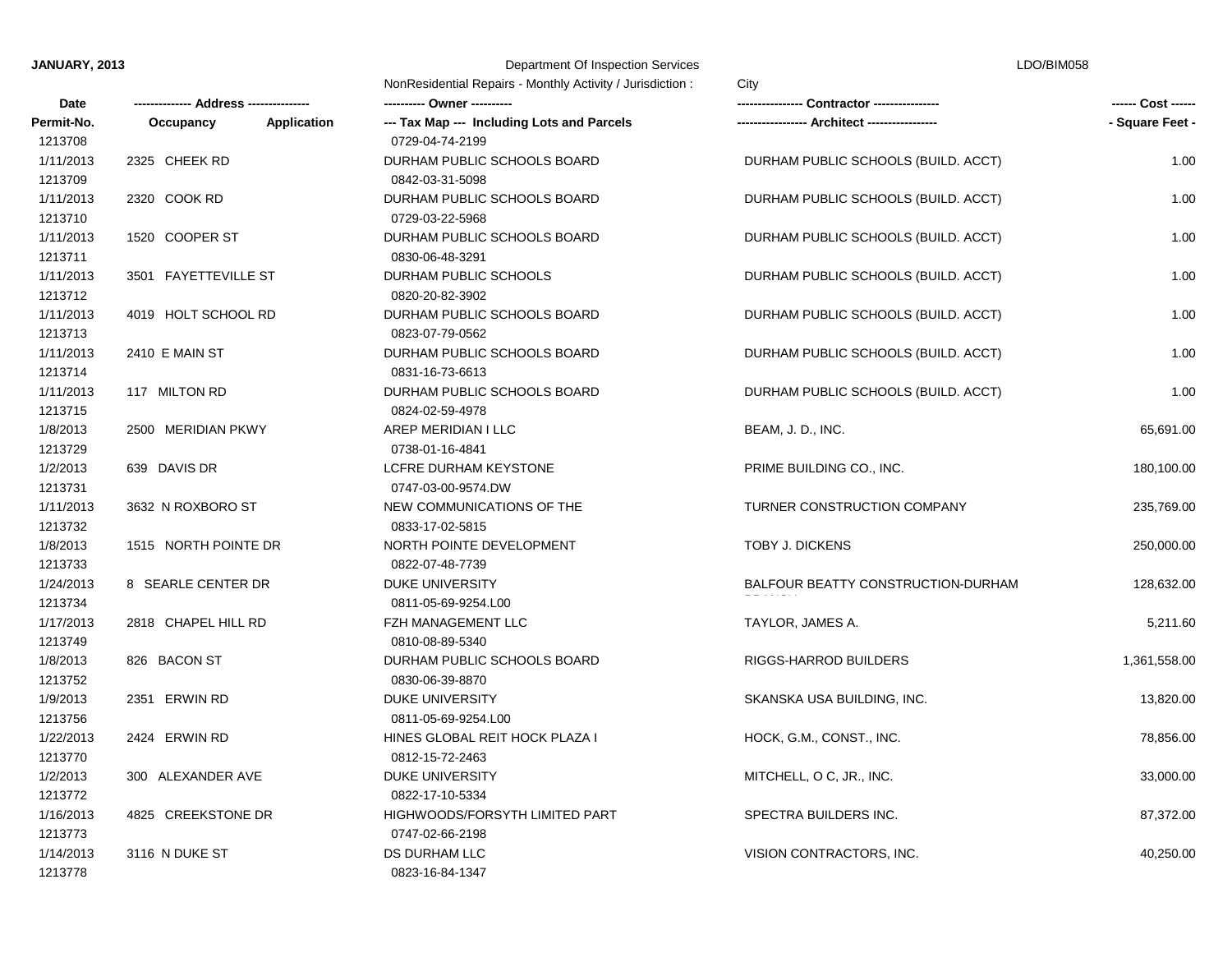## **JANUARY, 2013** Department Of Inspection Services

| LDO/BIM058 |  |
|------------|--|
|------------|--|

|                       |                      |                    | NonResidential Repairs - Monthly Activity / Jurisdiction:     |                                     |                    |
|-----------------------|----------------------|--------------------|---------------------------------------------------------------|-------------------------------------|--------------------|
| Date                  |                      |                    | ---------- Owner ----------                                   | Contractor ----------------         | ------ Cost ------ |
| Permit-No.<br>1213708 | Occupancy            | <b>Application</b> | --- Tax Map --- Including Lots and Parcels<br>0729-04-74-2199 |                                     | - Square Feet -    |
| 1/11/2013             | 2325 CHEEK RD        |                    | DURHAM PUBLIC SCHOOLS BOARD                                   | DURHAM PUBLIC SCHOOLS (BUILD. ACCT) | 1.00               |
| 1213709               |                      |                    | 0842-03-31-5098                                               |                                     |                    |
| 1/11/2013             | 2320 COOK RD         |                    | DURHAM PUBLIC SCHOOLS BOARD                                   | DURHAM PUBLIC SCHOOLS (BUILD. ACCT) | 1.00               |
| 1213710               |                      |                    | 0729-03-22-5968                                               |                                     |                    |
| 1/11/2013             | 1520 COOPER ST       |                    | DURHAM PUBLIC SCHOOLS BOARD                                   | DURHAM PUBLIC SCHOOLS (BUILD. ACCT) | 1.00               |
| 1213711               |                      |                    | 0830-06-48-3291                                               |                                     |                    |
| 1/11/2013             | 3501 FAYETTEVILLE ST |                    | DURHAM PUBLIC SCHOOLS                                         | DURHAM PUBLIC SCHOOLS (BUILD. ACCT) | 1.00               |
| 1213712               |                      |                    | 0820-20-82-3902                                               |                                     |                    |
| 1/11/2013             | 4019 HOLT SCHOOL RD  |                    | DURHAM PUBLIC SCHOOLS BOARD                                   | DURHAM PUBLIC SCHOOLS (BUILD. ACCT) | 1.00               |
| 1213713               |                      |                    | 0823-07-79-0562                                               |                                     |                    |
| 1/11/2013             | 2410 E MAIN ST       |                    | DURHAM PUBLIC SCHOOLS BOARD                                   | DURHAM PUBLIC SCHOOLS (BUILD. ACCT) | 1.00               |
| 1213714               |                      |                    | 0831-16-73-6613                                               |                                     |                    |
| 1/11/2013             | 117 MILTON RD        |                    | DURHAM PUBLIC SCHOOLS BOARD                                   | DURHAM PUBLIC SCHOOLS (BUILD. ACCT) | 1.00<br>65,691.00  |
| 1213715               |                      |                    | 0824-02-59-4978                                               |                                     |                    |
| 1/8/2013              | 2500 MERIDIAN PKWY   |                    | AREP MERIDIAN I LLC                                           | BEAM, J. D., INC.                   |                    |
| 1213729               |                      |                    | 0738-01-16-4841                                               |                                     |                    |
| 1/2/2013              | 639 DAVIS DR         |                    | LCFRE DURHAM KEYSTONE                                         | PRIME BUILDING CO., INC.            | 180,100.00         |
| 1213731               |                      |                    | 0747-03-00-9574.DW                                            |                                     |                    |
| 1/11/2013             | 3632 N ROXBORO ST    |                    | NEW COMMUNICATIONS OF THE                                     | TURNER CONSTRUCTION COMPANY         | 235,769.00         |
| 1213732               |                      |                    | 0833-17-02-5815                                               |                                     |                    |
| 1/8/2013              | 1515 NORTH POINTE DR |                    | NORTH POINTE DEVELOPMENT                                      | TOBY J. DICKENS                     | 250,000.00         |
| 1213733               |                      |                    | 0822-07-48-7739                                               |                                     |                    |
| 1/24/2013             | 8 SEARLE CENTER DR   |                    | <b>DUKE UNIVERSITY</b>                                        | BALFOUR BEATTY CONSTRUCTION-DURHAM  | 128,632.00         |
| 1213734               |                      |                    | 0811-05-69-9254.L00                                           |                                     |                    |
| 1/17/2013             | 2818 CHAPEL HILL RD  |                    | FZH MANAGEMENT LLC                                            | TAYLOR, JAMES A.                    | 5,211.60           |
| 1213749               |                      |                    | 0810-08-89-5340                                               |                                     |                    |
| 1/8/2013              | 826 BACON ST         |                    | DURHAM PUBLIC SCHOOLS BOARD                                   | RIGGS-HARROD BUILDERS               | 1,361,558.00       |
| 1213752               |                      |                    | 0830-06-39-8870                                               |                                     |                    |
| 1/9/2013              | 2351 ERWIN RD        |                    | <b>DUKE UNIVERSITY</b>                                        | SKANSKA USA BUILDING, INC.          | 13,820.00          |
| 1213756               |                      |                    | 0811-05-69-9254.L00                                           |                                     |                    |
| 1/22/2013             | 2424 ERWIN RD        |                    | HINES GLOBAL REIT HOCK PLAZA I                                | HOCK, G.M., CONST., INC.            | 78,856.00          |
| 1213770               |                      |                    | 0812-15-72-2463                                               |                                     |                    |
| 1/2/2013              | 300 ALEXANDER AVE    |                    | <b>DUKE UNIVERSITY</b>                                        | MITCHELL, O C, JR., INC.            | 33,000.00          |
| 1213772               |                      |                    | 0822-17-10-5334                                               |                                     |                    |
| 1/16/2013             | 4825 CREEKSTONE DR   |                    | HIGHWOODS/FORSYTH LIMITED PART                                | SPECTRA BUILDERS INC.               | 87,372.00          |
| 1213773               |                      |                    | 0747-02-66-2198                                               |                                     |                    |
| 1/14/2013             | 3116 N DUKE ST       |                    | <b>DS DURHAM LLC</b>                                          | VISION CONTRACTORS, INC.            | 40,250.00          |
| 1213778               |                      |                    | 0823-16-84-1347                                               |                                     |                    |